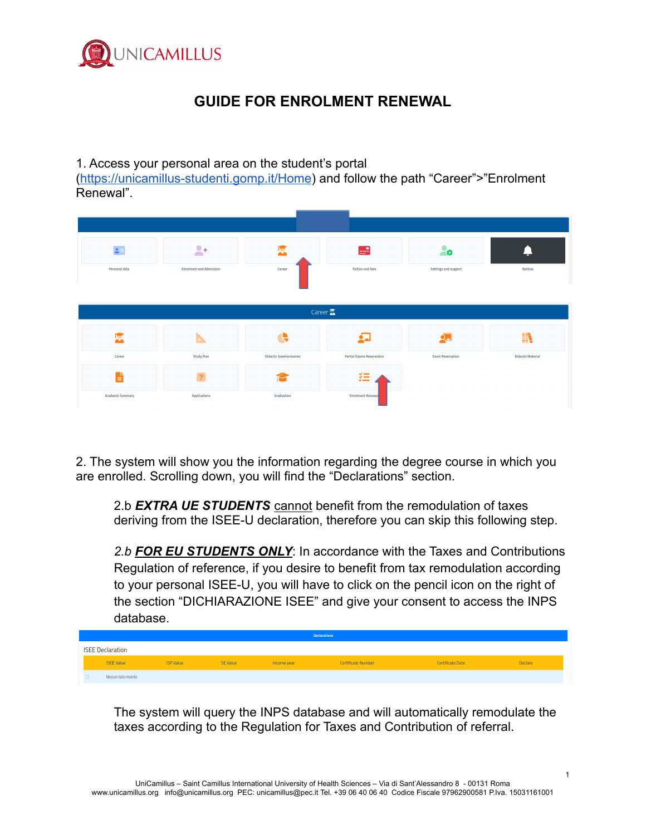

## **GUIDE FOR ENROLMENT RENEWAL**

## 1. Access your personal area on the student's portal

(<https://unicamillus-studenti.gomp.it/Home>) and follow the path "Career">"Enrolment Renewal".

| $\mathbf{A}$            | $\bullet$                      | IŞ.                            | æ                                | -ø                      |                          |
|-------------------------|--------------------------------|--------------------------------|----------------------------------|-------------------------|--------------------------|
| Personal data           | <b>Enrolment and Admission</b> | Career                         | <b>Tuition and fees</b>          | Settings and support    | <b>Notices</b>           |
|                         |                                |                                |                                  |                         |                          |
|                         |                                | Career $\mathbb{Z}$            |                                  |                         |                          |
| 悳                       |                                | e                              |                                  |                         | ШB,<br>49                |
| Career                  | <b>Study Plan</b>              | <b>Didactic Questionnaires</b> | <b>Partial Exams Reservation</b> | <b>Exam Reservation</b> | <b>Didactic Material</b> |
| È                       | ?                              |                                | 狂                                |                         |                          |
| <b>Academic Summary</b> | <b>Applications</b>            | Graduation                     | <b>Enrolment Renewal</b>         |                         |                          |

2. The system will show you the information regarding the degree course in which you are enrolled. Scrolling down, you will find the "Declarations" section.

2.b *EXTRA UE STUDENTS* cannot benefit from the remodulation of taxes deriving from the ISEE-U declaration, therefore you can skip this following step.

*2.b FOR EU STUDENTS ONLY*: In accordance with the Taxes and Contributions Regulation of reference, if you desire to benefit from tax remodulation according to your personal ISEE-U, you will have to click on the pencil icon on the right of the section "DICHIARAZIONE ISEE" and give your consent to access the INPS database.

|                         |                  |          |             | <b>Declarations</b> |                  |         |
|-------------------------|------------------|----------|-------------|---------------------|------------------|---------|
| <b>ISEE Declaration</b> |                  |          |             |                     |                  |         |
| <b>ISEE Value</b>       | <b>ISP Value</b> | SE Value | Income year | Certificate Number  | Certificate Date | Declare |
| Nessun dato inserito    |                  |          |             |                     |                  |         |

The system will query the INPS database and will automatically remodulate the taxes according to the Regulation for Taxes and Contribution of referral.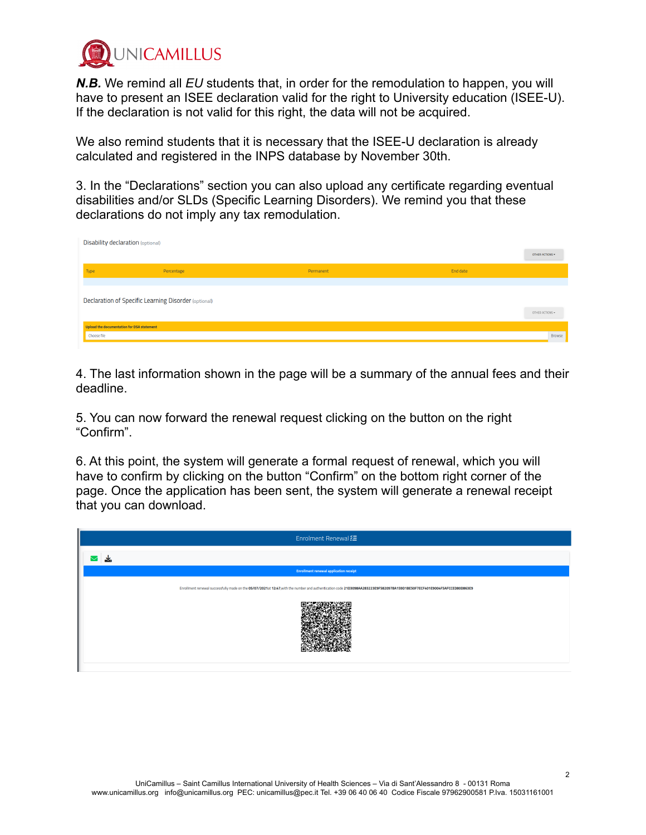

*N.B.* We remind all *EU* students that, in order for the remodulation to happen, you will have to present an ISEE declaration valid for the right to University education (ISEE-U). If the declaration is not valid for this right, the data will not be acquired.

We also remind students that it is necessary that the ISEE-U declaration is already calculated and registered in the INPS database by November 30th.

3. In the "Declarations" section you can also upload any certificate regarding eventual disabilities and/or SLDs (Specific Learning Disorders). We remind you that these declarations do not imply any tax remodulation.

| <b>Disability declaration (optional)</b>   |                                                      |           |          |                 |
|--------------------------------------------|------------------------------------------------------|-----------|----------|-----------------|
|                                            |                                                      |           |          | OTHER ACTIONS - |
| Type                                       | Percentage                                           | Permanent | End date |                 |
|                                            |                                                      |           |          |                 |
|                                            | Declaration of Specific Learning Disorder (optional) |           |          |                 |
|                                            |                                                      |           |          | OTHER ACTIONS * |
| Upload the documentation for DSA statement |                                                      |           |          |                 |
| Choose file                                |                                                      |           |          | Browse          |

4. The last information shown in the page will be a summary of the annual fees and their deadline.

5. You can now forward the renewal request clicking on the button on the right "Confirm".

6. At this point, the system will generate a formal request of renewal, which you will have to confirm by clicking on the button "Confirm" on the bottom right corner of the page. Once the application has been sent, the system will generate a renewal receipt that you can download.

| Enrolment Renewal :=                                                                                                                                                     |
|--------------------------------------------------------------------------------------------------------------------------------------------------------------------------|
|                                                                                                                                                                          |
| <b>Enrollment renewal application receipt</b>                                                                                                                            |
| Enrollment renewal successfully made on the 05/07/2021at 12:47, with the number and authentication code 21D3098AA283223E9F582097BA159D1BE50F7ECF401E9004F5AFCCED80D863E9 |
|                                                                                                                                                                          |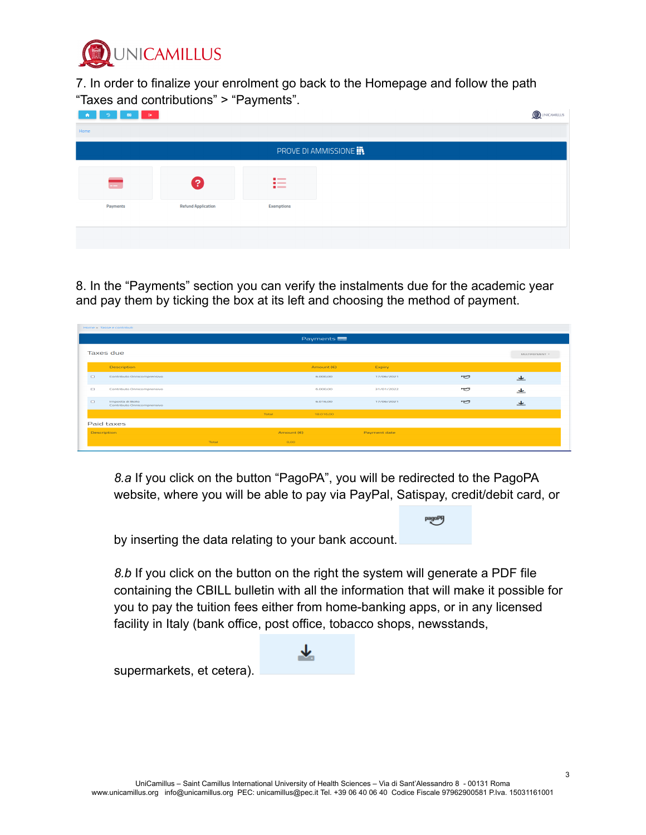

7. In order to finalize your enrolment go back to the Homepage and follow the path "Taxes and contributions" > "Payments".

| $\bullet$<br>$\ddot{\phantom{1}}$<br>ൗ<br>$\overline{a}$ |                           |                                 | QUINICAMILLUS          |
|----------------------------------------------------------|---------------------------|---------------------------------|------------------------|
| Home                                                     |                           |                                 |                        |
|                                                          |                           |                                 | PROVE DI AMMISSIONE IN |
|                                                          |                           |                                 |                        |
| $-$                                                      | 2                         | $\blacksquare$<br>$-$<br>$\sim$ |                        |
| Payments                                                 | <b>Refund Application</b> | <b>Exemptions</b>               |                        |
|                                                          |                           |                                 |                        |
|                                                          |                           |                                 |                        |
|                                                          |                           |                                 |                        |

8. In the "Payments" section you can verify the instalments due for the academic year and pay them by ticking the box at its left and choosing the method of payment.

|                      |                                                |       |            | Payments     |              |         |                |
|----------------------|------------------------------------------------|-------|------------|--------------|--------------|---------|----------------|
|                      | Taxes due                                      |       |            |              |              |         | MULTIPAYMENT * |
|                      | Description                                    |       |            | Amount $(E)$ | Expiry       |         |                |
| $\qquad \qquad \Box$ | Contributo Onnicomprensivo                     |       |            | 6.000,00     | 17/06/2021   | pagatng | ᆂ              |
| $\Box$               | Contributo Onnicomprensivo                     |       |            | 6.000,00     | 31/01/2022   | pagoPH  | ᆂ              |
| $\Box$               | Imposta di Bollo<br>Contributo Onnicomprensivo |       |            | 6.016.00     | 17/06/2021   | pagoPIJ | ᆂ              |
|                      |                                                |       | Total      | 18.016,00    |              |         |                |
|                      | Paid taxes                                     |       |            |              |              |         |                |
| <b>Description</b>   |                                                |       | Amount (€) |              | Payment date |         |                |
|                      |                                                | Total | O, OO      |              |              |         |                |

*8.a* If you click on the button "PagoPA", you will be redirected to the PagoPA website, where you will be able to pay via PayPal, Satispay, credit/debit card, or

by inserting the data relating to your bank account.

*8.b* If you click on the button on the right the system will generate a PDF file containing the CBILL bulletin with all the information that will make it possible for you to pay the tuition fees either from home-banking apps, or in any licensed facility in Italy (bank office, post office, tobacco shops, newsstands,

supermarkets, et cetera).